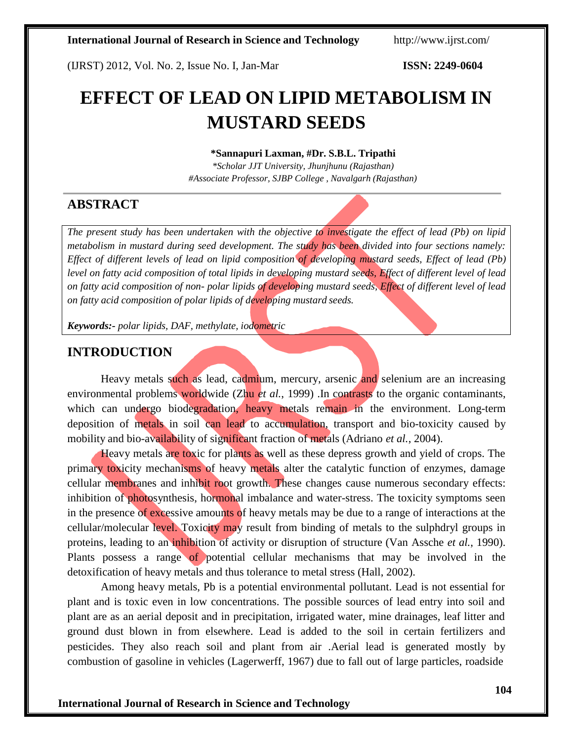(IJRST) 2012, Vol. No. 2, Issue No. I, Jan-Mar **ISSN: 2249-0604**

# **EFFECT OF LEAD ON LIPID METABOLISM IN MUSTARD SEEDS**

#### **\*Sannapuri Laxman, #Dr. S.B.L. Tripathi**

*\*Scholar JJT University, Jhunjhunu (Rajasthan) #Associate Professor, SJBP College , Navalgarh (Rajasthan)*

# **ABSTRACT**

*The present study has been undertaken with the objective to investigate the effect of lead (Pb) on lipid metabolism in mustard during seed development. The study has been divided into four sections namely: Effect of different levels of lead on lipid composition of developing mustard seeds, Effect of lead (Pb) level on fatty acid composition of total lipids in developing mustard seeds, Effect of different level of lead on fatty acid composition of non- polar lipids of developing mustard seeds, Effect of different level of lead on fatty acid composition of polar lipids of developing mustard seeds.*

*Keywords:- polar lipids, DAF, methylate, iodometric*

## **INTRODUCTION**

Heavy metals such as lead, cadmium, mercury, arsenic and selenium are an increasing environmental problems worldwide (Zhu *et al.*, 1999). In contrasts to the organic contaminants, which can undergo biodegradation, heavy metals remain in the environment. Long-term deposition of metals in soil can lead to accumulation, transport and bio-toxicity caused by mobility and bio-availability of significant fraction of metals (Adriano *et al.*, 2004).

Heavy metals are toxic for plants as well as these depress growth and yield of crops. The primary toxicity mechanisms of heavy metals alter the catalytic function of enzymes, damage cellular membranes and inhibit root growth. These changes cause numerous secondary effects: inhibition of photosynthesis, hormonal imbalance and water-stress. The toxicity symptoms seen in the presence of excessive amounts of heavy metals may be due to a range of interactions at the cellular/molecular level. Toxicity may result from binding of metals to the sulphdryl groups in proteins, leading to an inhibition of activity or disruption of structure (Van Assche *et al.*, 1990). Plants possess a range of potential cellular mechanisms that may be involved in the detoxification of heavy metals and thus tolerance to metal stress (Hall, 2002).

Among heavy metals, Pb is a potential environmental pollutant. Lead is not essential for plant and is toxic even in low concentrations. The possible sources of lead entry into soil and plant are as an aerial deposit and in precipitation, irrigated water, mine drainages, leaf litter and ground dust blown in from elsewhere. Lead is added to the soil in certain fertilizers and pesticides. They also reach soil and plant from air .Aerial lead is generated mostly by combustion of gasoline in vehicles (Lagerwerff, 1967) due to fall out of large particles, roadside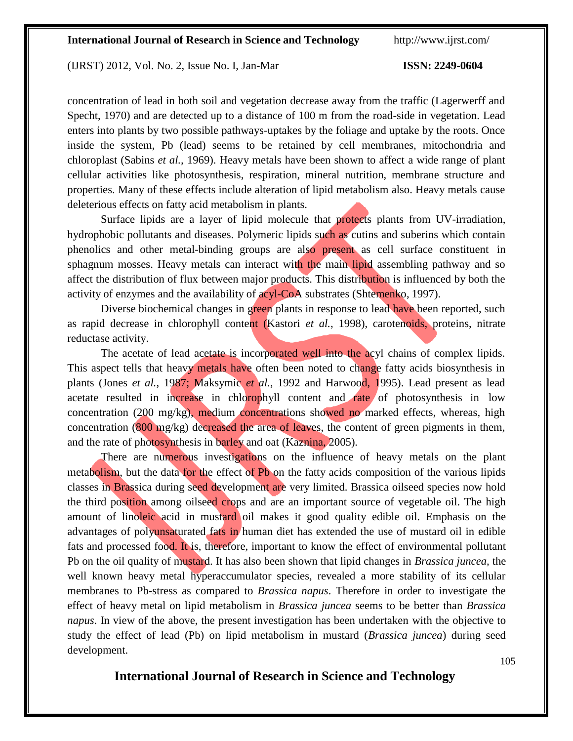(IJRST) 2012, Vol. No. 2, Issue No. I, Jan-Mar **ISSN: 2249-0604**

concentration of lead in both soil and vegetation decrease away from the traffic (Lagerwerff and Specht, 1970) and are detected up to a distance of 100 m from the road-side in vegetation. Lead enters into plants by two possible pathways-uptakes by the foliage and uptake by the roots. Once inside the system, Pb (lead) seems to be retained by cell membranes, mitochondria and chloroplast (Sabins *et al.,* 1969). Heavy metals have been shown to affect a wide range of plant cellular activities like photosynthesis, respiration, mineral nutrition, membrane structure and properties. Many of these effects include alteration of lipid metabolism also. Heavy metals cause deleterious effects on fatty acid metabolism in plants.

Surface lipids are a layer of lipid molecule that protects plants from UV-irradiation, hydrophobic pollutants and diseases. Polymeric lipids such as cutins and suberins which contain phenolics and other metal-binding groups are also present as cell surface constituent in sphagnum mosses. Heavy metals can interact with the main lipid assembling pathway and so affect the distribution of flux between major products. This distribution is influenced by both the activity of enzymes and the availability of acyl-CoA substrates (Shtemenko, 1997).

Diverse biochemical changes in green plants in response to lead have been reported, such as rapid decrease in chlorophyll content (Kastori *et al.*, 1998), carotenoids, proteins, nitrate reductase activity.

The acetate of lead acetate is incorporated well into the acyl chains of complex lipids. This aspect tells that heavy metals have often been noted to change fatty acids biosynthesis in plants (Jones *et al.*, 1987; Maksymic *et al.*, 1992 and Harwood, 1995). Lead present as lead acetate resulted in increase in chlorophyll content and rate of photosynthesis in low concentration (200 mg/kg), medium concentrations showed no marked effects, whereas, high concentration (800 mg/kg) decreased the area of leaves, the content of green pigments in them, and the rate of photosynthesis in barley and oat (Kaznina, 2005).

There are numerous investigations on the influence of heavy metals on the plant metabolism, but the data for the effect of Pb on the fatty acids composition of the various lipids classes in Brassica during seed development are very limited. Brassica oilseed species now hold the third position among oilseed crops and are an important source of vegetable oil. The high amount of linoleic acid in mustard oil makes it good quality edible oil. Emphasis on the advantages of polyunsaturated fats in human diet has extended the use of mustard oil in edible fats and processed food. It is, therefore, important to know the effect of environmental pollutant Pb on the oil quality of mustard. It has also been shown that lipid changes in *Brassica juncea,* the well known heavy metal hyperaccumulator species, revealed a more stability of its cellular membranes to Pb-stress as compared to *Brassica napus*. Therefore in order to investigate the effect of heavy metal on lipid metabolism in *Brassica juncea* seems to be better than *Brassica napus*. In view of the above, the present investigation has been undertaken with the objective to study the effect of lead (Pb) on lipid metabolism in mustard (*Brassica juncea*) during seed development.

# **International Journal of Research in Science and Technology**

105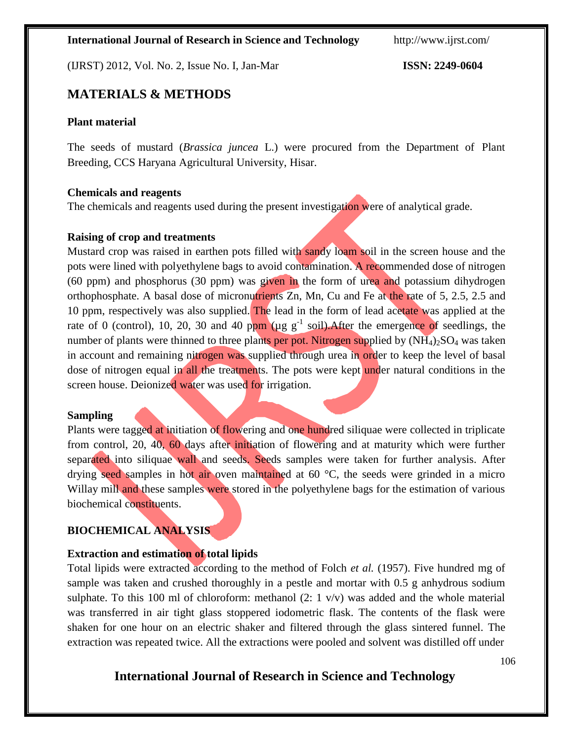(IJRST) 2012, Vol. No. 2, Issue No. I, Jan-Mar **ISSN: 2249-0604**

# **MATERIALS & METHODS**

#### **Plant material**

The seeds of mustard (*Brassica juncea* L.) were procured from the Department of Plant Breeding, CCS Haryana Agricultural University, Hisar.

#### **Chemicals and reagents**

The chemicals and reagents used during the present investigation were of analytical grade.

#### **Raising of crop and treatments**

Mustard crop was raised in earthen pots filled with sandy loam soil in the screen house and the pots were lined with polyethylene bags to avoid contamination. A recommended dose of nitrogen (60 ppm) and phosphorus (30 ppm) was given in the form of urea and potassium dihydrogen orthophosphate. A basal dose of micronutrients Zn, Mn, Cu and Fe at the rate of 5, 2.5, 2.5 and 10 ppm, respectively was also supplied. The lead in the form of lead acetate was applied at the rate of 0 (control), 10, 20, 30 and 40 ppm ( $\mu$ g g<sup>-1</sup> soil). After the emergence of seedlings, the number of plants were thinned to three plants per pot. Nitrogen supplied by  $(NH_4)_2SO_4$  was taken in account and remaining nitrogen was supplied through urea in order to keep the level of basal dose of nitrogen equal in all the treatments. The pots were kept under natural conditions in the screen house. Deionized water was used for irrigation.

#### **Sampling**

Plants were tagged at initiation of flowering and one hundred siliquae were collected in triplicate from control, 20, 40, 60 days after initiation of flowering and at maturity which were further separated into siliquae wall and seeds. Seeds samples were taken for further analysis. After drying seed samples in hot air oven maintained at 60 °C, the seeds were grinded in a micro Willay mill and these samples were stored in the polyethylene bags for the estimation of various biochemical constituents.

# **BIOCHEMICAL ANALYSIS**

## **Extraction and estimation of total lipids**

Total lipids were extracted according to the method of Folch *et al.* (1957). Five hundred mg of sample was taken and crushed thoroughly in a pestle and mortar with 0.5 g anhydrous sodium sulphate. To this 100 ml of chloroform: methanol  $(2: 1 \text{ v/v})$  was added and the whole material was transferred in air tight glass stoppered iodometric flask. The contents of the flask were shaken for one hour on an electric shaker and filtered through the glass sintered funnel. The extraction was repeated twice. All the extractions were pooled and solvent was distilled off under

# **International Journal of Research in Science and Technology**

106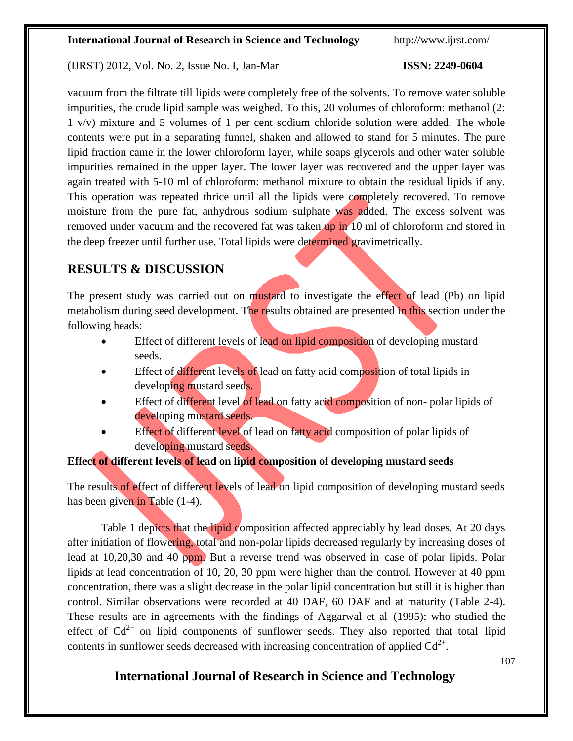### (IJRST) 2012, Vol. No. 2, Issue No. I, Jan-Mar **ISSN: 2249-0604**

vacuum from the filtrate till lipids were completely free of the solvents. To remove water soluble impurities, the crude lipid sample was weighed. To this, 20 volumes of chloroform: methanol (2: 1 v/v) mixture and 5 volumes of 1 per cent sodium chloride solution were added. The whole contents were put in a separating funnel, shaken and allowed to stand for 5 minutes. The pure lipid fraction came in the lower chloroform layer, while soaps glycerols and other water soluble impurities remained in the upper layer. The lower layer was recovered and the upper layer was again treated with 5-10 ml of chloroform: methanol mixture to obtain the residual lipids if any. This operation was repeated thrice until all the lipids were completely recovered. To remove moisture from the pure fat, anhydrous sodium sulphate was added. The excess solvent was removed under vacuum and the recovered fat was taken up in 10 ml of chloroform and stored in the deep freezer until further use. Total lipids were determined gravimetrically.

# **RESULTS & DISCUSSION**

The present study was carried out on mustard to investigate the effect of lead (Pb) on lipid metabolism during seed development. The results obtained are presented in this section under the following heads:

- Effect of different levels of lead on lipid composition of developing mustard seeds.
- Effect of different levels of lead on fatty acid composition of total lipids in developing mustard seeds.
- Effect of different level of lead on fatty acid composition of non- polar lipids of developing mustard seeds.
- Effect of different level of lead on fatty acid composition of polar lipids of developing mustard seeds.

# **Effect of different levels of lead on lipid composition of developing mustard seeds**

The results of effect of different levels of lead on lipid composition of developing mustard seeds has been given in Table (1-4).

Table 1 depicts that the lipid composition affected appreciably by lead doses. At 20 days after initiation of flowering, total and non-polar lipids decreased regularly by increasing doses of lead at 10,20,30 and 40 ppm. But a reverse trend was observed in case of polar lipids. Polar lipids at lead concentration of 10, 20, 30 ppm were higher than the control. However at 40 ppm concentration, there was a slight decrease in the polar lipid concentration but still it is higher than control. Similar observations were recorded at 40 DAF, 60 DAF and at maturity (Table 2-4). These results are in agreements with the findings of Aggarwal et al (1995); who studied the effect of  $Cd^{2+}$  on lipid components of sunflower seeds. They also reported that total lipid contents in sunflower seeds decreased with increasing concentration of applied  $Cd^{2+}$ .

107

# **International Journal of Research in Science and Technology**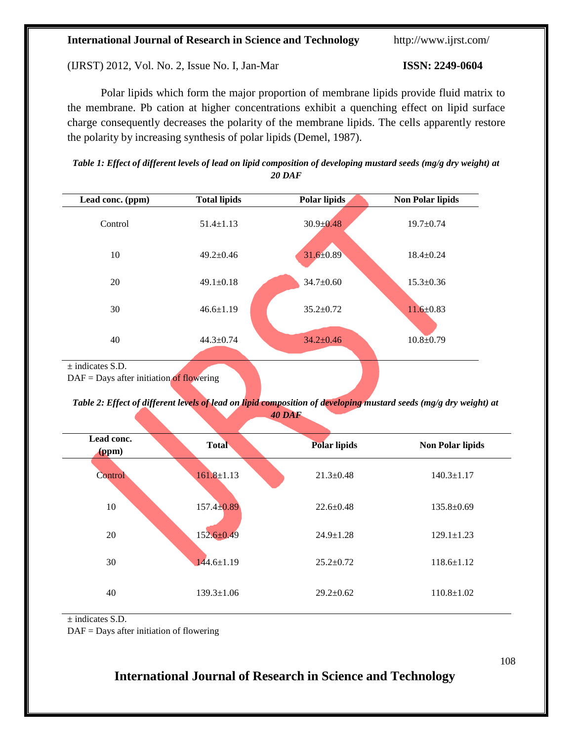#### (IJRST) 2012, Vol. No. 2, Issue No. I, Jan-Mar **ISSN: 2249-0604**

Polar lipids which form the major proportion of membrane lipids provide fluid matrix to the membrane. Pb cation at higher concentrations exhibit a quenching effect on lipid surface charge consequently decreases the polarity of the membrane lipids. The cells apparently restore the polarity by increasing synthesis of polar lipids (Demel, 1987).

| Table 1: Effect of different levels of lead on lipid composition of developing mustard seeds (mg/g dry weight) at |
|-------------------------------------------------------------------------------------------------------------------|
| 20 DAF                                                                                                            |

| Lead conc. (ppm)                           | <b>Total lipids</b> | <b>Polar lipids</b> | <b>Non Polar lipids</b> |
|--------------------------------------------|---------------------|---------------------|-------------------------|
| Control                                    | $51.4 \pm 1.13$     | $30.9 \pm 0.48$     | $19.7 \pm 0.74$         |
| 10                                         | $49.2 \pm 0.46$     | 31.6±0.89           | $18.4 \pm 0.24$         |
| 20                                         | $49.1 \pm 0.18$     | $34.7 \pm 0.60$     | $15.3 \pm 0.36$         |
| 30                                         | $46.6 \pm 1.19$     | $35.2 \pm 0.72$     | $11.6 \pm 0.83$         |
| 40                                         | $44.3 \pm 0.74$     | $34.2 \pm 0.46$     | $10.8 \pm 0.79$         |
| $\pm$ indicates S.D.                       |                     |                     |                         |
| $DAF =$ Days after initiation of flowering |                     |                     |                         |

Table 2: Effect of different levels of lead on lipid composition of developing mustard seeds (mg/g dry weight) at *40 DAF*

| Lead conc.<br>(ppm) | <b>Total</b>     | <b>Polar lipids</b> | <b>Non Polar lipids</b> |
|---------------------|------------------|---------------------|-------------------------|
| Control             | $161.8 \pm 1.13$ | $21.3 \pm 0.48$     | $140.3 \pm 1.17$        |
| 10                  | $157.4 \pm 0.89$ | $22.6 \pm 0.48$     | $135.8 \pm 0.69$        |
| 20                  | $152.6 \pm 0.49$ | $24.9 \pm 1.28$     | $129.1 \pm 1.23$        |
| 30                  | $144.6 \pm 1.19$ | $25.2 \pm 0.72$     | $118.6 \pm 1.12$        |
| 40                  | $139.3 \pm 1.06$ | $29.2 \pm 0.62$     | $110.8 \pm 1.02$        |

± indicates S.D.

DAF = Days after initiation of flowering

# **International Journal of Research in Science and Technology**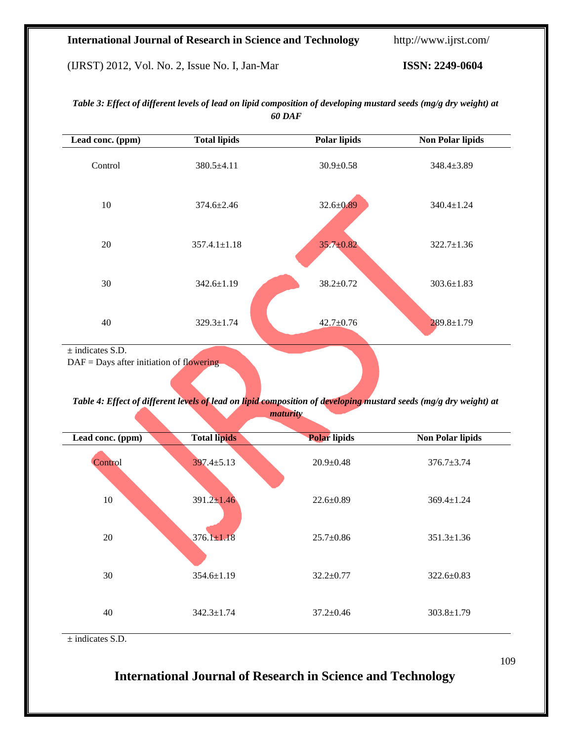(IJRST) 2012, Vol. No. 2, Issue No. I, Jan-Mar **ISSN: 2249-0604**

| Lead conc. (ppm)                           | <b>Total lipids</b> | <b>Polar lipids</b> | <b>Non Polar lipids</b> |
|--------------------------------------------|---------------------|---------------------|-------------------------|
| Control                                    | 380.5±4.11          | $30.9 \pm 0.58$     | 348.4±3.89              |
| 10                                         | $374.6 \pm 2.46$    | $32.6 \pm 0.89$     | 340.4±1.24              |
| 20                                         | $357.4.1 \pm 1.18$  | $35.7 \pm 0.82$     | $322.7 \pm 1.36$        |
| 30                                         | $342.6 \pm 1.19$    | 38.2±0.72           | $303.6 \pm 1.83$        |
| 40                                         | $329.3 \pm 1.74$    | $42.7 \pm 0.76$     | $289.8 \pm 1.79$        |
| $\pm$ indicates S.D.                       |                     |                     |                         |
| $DAF =$ Days after initiation of flowering |                     |                     |                         |

Table 3: Effect of different levels of lead on lipid composition of developing mustard seeds (mg/g dry weight) at *60 DAF*

Table 4: Effect of different levels of lead on lipid composition of developing mustard seeds (mg/g dry weight) at *maturity*

| Lead conc. (ppm) | <b>Total lipids</b> | <b>Polar lipids</b> | <b>Non Polar lipids</b> |
|------------------|---------------------|---------------------|-------------------------|
| Control          | $397.4 \pm 5.13$    | $20.9 \pm 0.48$     | $376.7 \pm 3.74$        |
| 10               | $391.2 \pm 1.46$    | $22.6 \pm 0.89$     | $369.4 \pm 1.24$        |
| 20               | $376.1 \pm 1.18$    | $25.7 \pm 0.86$     | $351.3 \pm 1.36$        |
| 30               | $354.6 \pm 1.19$    | $32.2 \pm 0.77$     | $322.6 \pm 0.83$        |
| 40               | $342.3 \pm 1.74$    | $37.2 \pm 0.46$     | $303.8 \pm 1.79$        |

± indicates S.D.

# **International Journal of Research in Science and Technology**

109